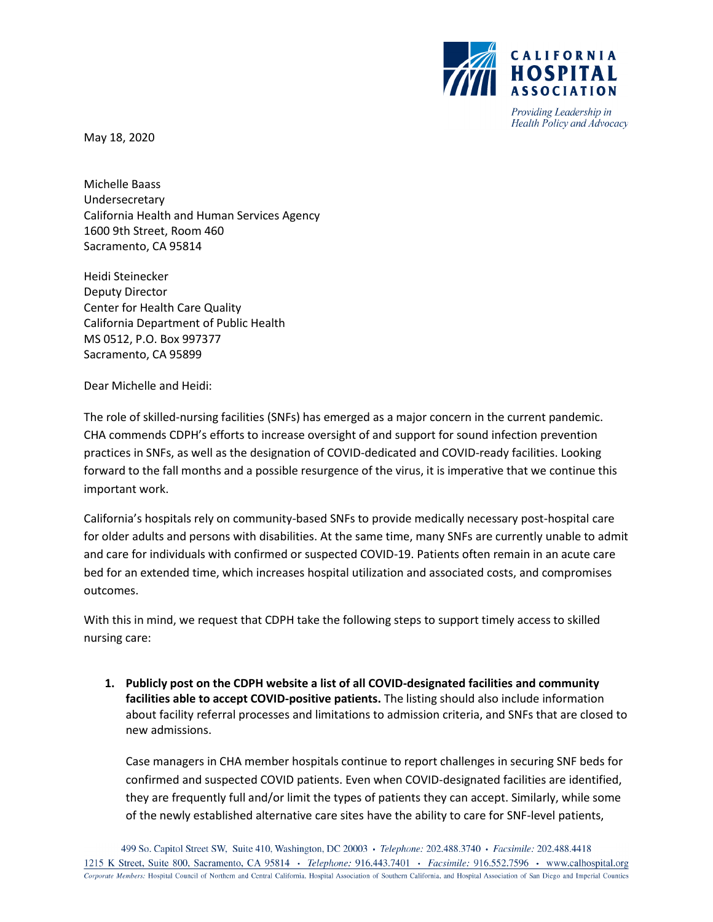

Providing Leadership in Health Policy and Advocacy

May 18, 2020

Michelle Baass Undersecretary California Health and Human Services Agency 1600 9th Street, Room 460 Sacramento, CA 95814

Heidi Steinecker Deputy Director Center for Health Care Quality California Department of Public Health MS 0512, P.O. Box 997377 Sacramento, CA 95899

Dear Michelle and Heidi:

The role of skilled-nursing facilities (SNFs) has emerged as a major concern in the current pandemic. CHA commends CDPH's efforts to increase oversight of and support for sound infection prevention practices in SNFs, as well as the designation of COVID-dedicated and COVID-ready facilities. Looking forward to the fall months and a possible resurgence of the virus, it is imperative that we continue this important work.

California's hospitals rely on community-based SNFs to provide medically necessary post-hospital care for older adults and persons with disabilities. At the same time, many SNFs are currently unable to admit and care for individuals with confirmed or suspected COVID-19. Patients often remain in an acute care bed for an extended time, which increases hospital utilization and associated costs, and compromises outcomes.

With this in mind, we request that CDPH take the following steps to support timely access to skilled nursing care:

**1. Publicly post on the CDPH website a list of all COVID-designated facilities and community facilities able to accept COVID-positive patients.** The listing should also include information about facility referral processes and limitations to admission criteria, and SNFs that are closed to new admissions.

Case managers in CHA member hospitals continue to report challenges in securing SNF beds for confirmed and suspected COVID patients. Even when COVID-designated facilities are identified, they are frequently full and/or limit the types of patients they can accept. Similarly, while some of the newly established alternative care sites have the ability to care for SNF-level patients,